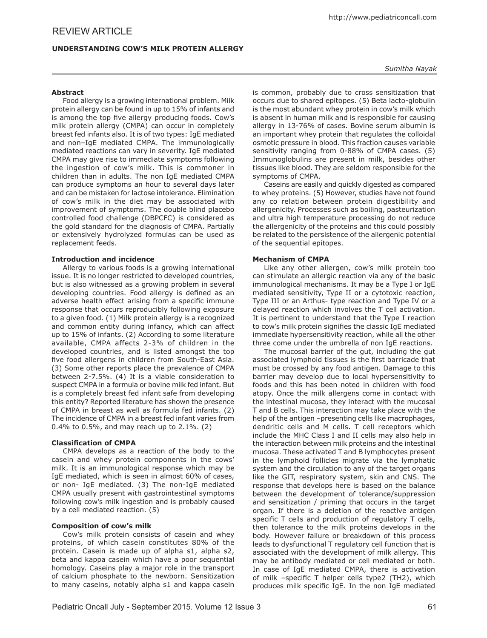# **Understanding Cow's Milk Protein Allergy**

## **Abstract**

Food allergy is a growing international problem. Milk protein allergy can be found in up to 15% of infants and is among the top five allergy producing foods. Cow's milk protein allergy (CMPA) can occur in completely breast fed infants also. It is of two types: IgE mediated and non–IgE mediated CMPA. The immunologically mediated reactions can vary in severity. IgE mediated CMPA may give rise to immediate symptoms following the ingestion of cow's milk. This is commoner in children than in adults. The non IgE mediated CMPA can produce symptoms an hour to several days later and can be mistaken for lactose intolerance. Elimination of cow's milk in the diet may be associated with improvement of symptoms. The double blind placebo controlled food challenge (DBPCFC) is considered as the gold standard for the diagnosis of CMPA. Partially or extensively hydrolyzed formulas can be used as replacement feeds.

## **Introduction and incidence**

Allergy to various foods is a growing international issue. It is no longer restricted to developed countries, but is also witnessed as a growing problem in several developing countries. Food allergy is defined as an adverse health effect arising from a specific immune response that occurs reproducibly following exposure to a given food. (1) Milk protein allergy is a recognized and common entity during infancy, which can affect up to 15% of infants. (2) According to some literature available, CMPA affects 2-3% of children in the developed countries, and is listed amongst the top five food allergens in children from South-East Asia. (3) Some other reports place the prevalence of CMPA between 2-7.5%. (4) It is a viable consideration to suspect CMPA in a formula or bovine milk fed infant. But is a completely breast fed infant safe from developing this entity? Reported literature has shown the presence of CMPA in breast as well as formula fed infants. (2) The incidence of CMPA in a breast fed infant varies from 0.4% to 0.5%, and may reach up to 2.1%. (2)

### **Classification of CMPA**

CMPA develops as a reaction of the body to the casein and whey protein components in the cows' milk. It is an immunological response which may be IgE mediated, which is seen in almost 60% of cases, or non- IgE mediated. (3) The non-IgE mediated CMPA usually present with gastrointestinal symptoms following cow's milk ingestion and is probably caused by a cell mediated reaction. (5)

### **Composition of cow's milk**

Cow's milk protein consists of casein and whey proteins, of which casein constitutes 80% of the protein. Casein is made up of alpha s1, alpha s2, beta and kappa casein which have a poor sequential homology. Caseins play a major role in the transport of calcium phosphate to the newborn. Sensitization to many caseins, notably alpha s1 and kappa casein *Sumitha Nayak*

is common, probably due to cross sensitization that occurs due to shared epitopes. (5) Beta lacto-globulin is the most abundant whey protein in cow's milk which is absent in human milk and is responsible for causing allergy in 13-76% of cases. Bovine serum albumin is an important whey protein that regulates the colloidal osmotic pressure in blood. This fraction causes variable sensitivity ranging from 0-88% of CMPA cases. (5) Immunoglobulins are present in milk, besides other tissues like blood. They are seldom responsible for the symptoms of CMPA.

Caseins are easily and quickly digested as compared to whey proteins. (5) However, studies have not found any co relation between protein digestibility and allergenicity. Processes such as boiling, pasteurization and ultra high temperature processing do not reduce the allergenicity of the proteins and this could possibly be related to the persistence of the allergenic potential of the sequential epitopes.

# **Mechanism of CMPA**

Like any other allergen, cow's milk protein too can stimulate an allergic reaction via any of the basic immunological mechanisms. It may be a Type I or IgE mediated sensitivity, Type II or a cytotoxic reaction, Type III or an Arthus- type reaction and Type IV or a delayed reaction which involves the T cell activation. It is pertinent to understand that the Type I reaction to cow's milk protein signifies the classic IgE mediated immediate hypersensitivity reaction, while all the other three come under the umbrella of non IgE reactions.

The mucosal barrier of the gut, including the gut associated lymphoid tissues is the first barricade that must be crossed by any food antigen. Damage to this barrier may develop due to local hypersensitivity to foods and this has been noted in children with food atopy. Once the milk allergens come in contact with the intestinal mucosa, they interact with the mucosal T and B cells. This interaction may take place with the help of the antigen -presenting cells like macrophages, dendritic cells and M cells. T cell receptors which include the MHC Class I and II cells may also help in the interaction between milk proteins and the intestinal mucosa. These activated T and B lymphocytes present in the lymphoid follicles migrate via the lymphatic system and the circulation to any of the target organs like the GIT, respiratory system, skin and CNS. The response that develops here is based on the balance between the development of tolerance/suppression and sensitization / priming that occurs in the target organ. If there is a deletion of the reactive antigen specific T cells and production of regulatory T cells, then tolerance to the milk proteins develops in the body. However failure or breakdown of this process leads to dysfunctional T regulatory cell function that is associated with the development of milk allergy. This may be antibody mediated or cell mediated or both. In case of IgE mediated CMPA, there is activation of milk –specific T helper cells type2 (TH2), which produces milk specific IgE. In the non IgE mediated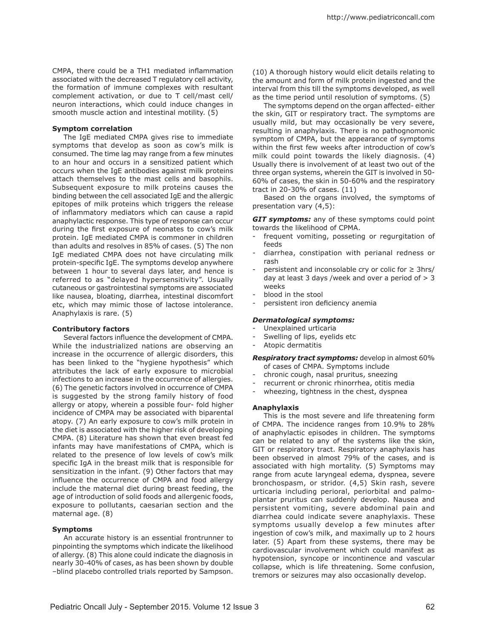CMPA, there could be a TH1 mediated inflammation associated with the decreased T regulatory cell activity, the formation of immune complexes with resultant complement activation, or due to T cell/mast cell/ neuron interactions, which could induce changes in smooth muscle action and intestinal motility. (5)

#### **Symptom correlation**

The IgE mediated CMPA gives rise to immediate symptoms that develop as soon as cow's milk is consumed. The time lag may range from a few minutes to an hour and occurs in a sensitized patient which occurs when the IgE antibodies against milk proteins attach themselves to the mast cells and basophils. Subsequent exposure to milk proteins causes the binding between the cell associated IgE and the allergic epitopes of milk proteins which triggers the release of inflammatory mediators which can cause a rapid anaphylactic response. This type of response can occur during the first exposure of neonates to cow's milk protein. IgE mediated CMPA is commoner in children than adults and resolves in 85% of cases. (5) The non IgE mediated CMPA does not have circulating milk protein-specific IgE. The symptoms develop anywhere between 1 hour to several days later, and hence is referred to as "delayed hypersensitivity". Usually cutaneous or gastrointestinal symptoms are associated like nausea, bloating, diarrhea, intestinal discomfort etc, which may mimic those of lactose intolerance. Anaphylaxis is rare. (5)

#### **Contributory factors**

Several factors influence the development of CMPA. While the industrialized nations are observing an increase in the occurrence of allergic disorders, this has been linked to the "hygiene hypothesis" which attributes the lack of early exposure to microbial infections to an increase in the occurrence of allergies. (6) The genetic factors involved in occurrence of CMPA is suggested by the strong family history of food allergy or atopy, wherein a possible four- fold higher incidence of CMPA may be associated with biparental atopy. (7) An early exposure to cow's milk protein in the diet is associated with the higher risk of developing CMPA. (8) Literature has shown that even breast fed infants may have manifestations of CMPA, which is related to the presence of low levels of cow's milk specific IgA in the breast milk that is responsible for sensitization in the infant. (9) Other factors that may influence the occurrence of CMPA and food allergy include the maternal diet during breast feeding, the age of introduction of solid foods and allergenic foods, exposure to pollutants, caesarian section and the maternal age. (8)

#### **Symptoms**

An accurate history is an essential frontrunner to pinpointing the symptoms which indicate the likelihood of allergy. (8) This alone could indicate the diagnosis in nearly 30-40% of cases, as has been shown by double –blind placebo controlled trials reported by Sampson.

(10) A thorough history would elicit details relating to the amount and form of milk protein ingested and the interval from this till the symptoms developed, as well as the time period until resolution of symptoms. (5)

The symptoms depend on the organ affected- either the skin, GIT or respiratory tract. The symptoms are usually mild, but may occasionally be very severe, resulting in anaphylaxis. There is no pathognomonic symptom of CMPA, but the appearance of symptoms within the first few weeks after introduction of cow's milk could point towards the likely diagnosis. (4) Usually there is involvement of at least two out of the three organ systems, wherein the GIT is involved in 50- 60% of cases, the skin in 50-60% and the respiratory tract in 20-30% of cases. (11)

Based on the organs involved, the symptoms of presentation vary (4,5):

*GIT symptoms:* any of these symptoms could point towards the likelihood of CPMA.

- frequent vomiting, posseting or regurgitation of feeds
- diarrhea, constipation with perianal redness or rash
- persistent and inconsolable cry or colic for  $\geq$  3hrs/ day at least 3 days /week and over a period of  $> 3$ weeks
- blood in the stool
- persistent iron deficiency anemia

# *Dermatological symptoms:*

- Unexplained urticaria
- Swelling of lips, eyelids etc
- Atopic dermatitis
- *Respiratory tract symptoms:* develop in almost 60% of cases of CMPA. Symptoms include
- chronic cough, nasal pruritus, sneezing
- recurrent or chronic rhinorrhea, otitis media
- wheezing, tightness in the chest, dyspnea

# **Anaphylaxis**

This is the most severe and life threatening form of CMPA. The incidence ranges from 10.9% to 28% of anaphylactic episodes in children. The symptoms can be related to any of the systems like the skin, GIT or respiratory tract. Respiratory anaphylaxis has been observed in almost 79% of the cases, and is associated with high mortality. (5) Symptoms may range from acute laryngeal edema, dyspnea, severe bronchospasm, or stridor. (4,5) Skin rash, severe urticaria including perioral, periorbital and palmoplantar pruritus can suddenly develop. Nausea and persistent vomiting, severe abdominal pain and diarrhea could indicate severe anaphylaxis. These symptoms usually develop a few minutes after ingestion of cow's milk, and maximally up to 2 hours later. (5) Apart from these systems, there may be cardiovascular involvement which could manifest as hypotension, syncope or incontinence and vascular collapse, which is life threatening. Some confusion, tremors or seizures may also occasionally develop.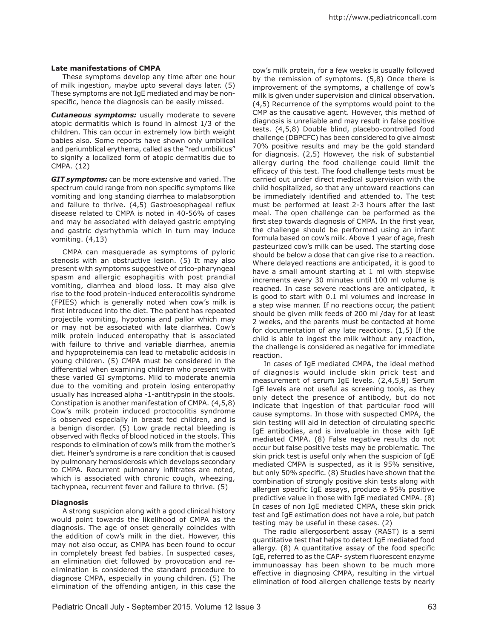## **Late manifestations of CMPA**

These symptoms develop any time after one hour of milk ingestion, maybe upto several days later. (5) These symptoms are not IgE mediated and may be nonspecific, hence the diagnosis can be easily missed.

*Cutaneous symptoms:* usually moderate to severe atopic dermatitis which is found in almost 1/3 of the children. This can occur in extremely low birth weight babies also. Some reports have shown only umbilical and periumblical erythema, called as the "red umbilicus" to signify a localized form of atopic dermatitis due to CMPA. (12)

*GIT symptoms:* can be more extensive and varied. The spectrum could range from non specific symptoms like vomiting and long standing diarrhea to malabsorption and failure to thrive. (4,5) Gastroesophageal reflux disease related to CMPA is noted in 40-56% of cases and may be associated with delayed gastric emptying and gastric dysrhythmia which in turn may induce vomiting. (4,13)

CMPA can masquerade as symptoms of pyloric stenosis with an obstructive lesion. (5) It may also present with symptoms suggestive of crico-pharyngeal spasm and allergic esophagitis with post prandial vomiting, diarrhea and blood loss. It may also give rise to the food protein-induced enterocolitis syndrome (FPIES) which is generally noted when cow's milk is first introduced into the diet. The patient has repeated projectile vomiting, hypotonia and pallor which may or may not be associated with late diarrhea. Cow's milk protein induced enteropathy that is associated with failure to thrive and variable diarrhea, anemia and hypoproteinemia can lead to metabolic acidosis in young children. (5) CMPA must be considered in the differential when examining children who present with these varied GI symptoms. Mild to moderate anemia due to the vomiting and protein losing enteropathy usually has increased alpha -1-antitrypsin in the stools. Constipation is another manifestation of CMPA. (4,5,8) Cow's milk protein induced proctocolitis syndrome is observed especially in breast fed children, and is a benign disorder. (5) Low grade rectal bleeding is observed with flecks of blood noticed in the stools. This responds to elimination of cow's milk from the mother's diet. Heiner's syndrome is a rare condition that is caused by pulmonary hemosiderosis which develops secondary to CMPA. Recurrent pulmonary infiltrates are noted, which is associated with chronic cough, wheezing, tachypnea, recurrent fever and failure to thrive. (5)

# **Diagnosis**

A strong suspicion along with a good clinical history would point towards the likelihood of CMPA as the diagnosis. The age of onset generally coincides with the addition of cow's milk in the diet. However, this may not also occur, as CMPA has been found to occur in completely breast fed babies. In suspected cases, an elimination diet followed by provocation and reelimination is considered the standard procedure to diagnose CMPA, especially in young children. (5) The elimination of the offending antigen, in this case the

cow's milk protein, for a few weeks is usually followed by the remission of symptoms. (5,8) Once there is improvement of the symptoms, a challenge of cow's milk is given under supervision and clinical observation. (4,5) Recurrence of the symptoms would point to the CMP as the causative agent. However, this method of diagnosis is unreliable and may result in false positive tests. (4,5,8) Double blind, placebo-controlled food challenge (DBPCFC) has been considered to give almost 70% positive results and may be the gold standard for diagnosis. (2,5) However, the risk of substantial allergy during the food challenge could limit the efficacy of this test. The food challenge tests must be carried out under direct medical supervision with the child hospitalized, so that any untoward reactions can be immediately identified and attended to. The test must be performed at least 2-3 hours after the last meal. The open challenge can be performed as the first step towards diagnosis of CMPA. In the first year, the challenge should be performed using an infant formula based on cow's milk. Above 1 year of age, fresh pasteurized cow's milk can be used. The starting dose should be below a dose that can give rise to a reaction. Where delayed reactions are anticipated, it is good to have a small amount starting at 1 ml with stepwise increments every 30 minutes until 100 ml volume is reached. In case severe reactions are anticipated, it is good to start with 0.1 ml volumes and increase in a step wise manner. If no reactions occur, the patient should be given milk feeds of 200 ml /day for at least 2 weeks, and the parents must be contacted at home for documentation of any late reactions. (1,5) If the child is able to ingest the milk without any reaction, the challenge is considered as negative for immediate reaction.

In cases of IgE mediated CMPA, the ideal method of diagnosis would include skin prick test and measurement of serum IgE levels. (2,4,5,8) Serum IgE levels are not useful as screening tools, as they only detect the presence of antibody, but do not indicate that ingestion of that particular food will cause symptoms. In those with suspected CMPA, the skin testing will aid in detection of circulating specific IgE antibodies, and is invaluable in those with IgE mediated CMPA. (8) False negative results do not occur but false positive tests may be problematic. The skin prick test is useful only when the suspicion of IgE mediated CMPA is suspected, as it is 95% sensitive, but only 50% specific. (8) Studies have shown that the combination of strongly positive skin tests along with allergen specific IgE assays, produce a 95% positive predictive value in those with IgE mediated CMPA. (8) In cases of non IgE mediated CMPA, these skin prick test and IgE estimation does not have a role, but patch testing may be useful in these cases. (2)

The radio allergosorbent assay (RAST) is a semi quantitative test that helps to detect IgE mediated food allergy. (8) A quantitative assay of the food specific IgE, referred to as the CAP- system fluorescent enzyme immunoassay has been shown to be much more effective in diagnosing CMPA, resulting in the virtual elimination of food allergen challenge tests by nearly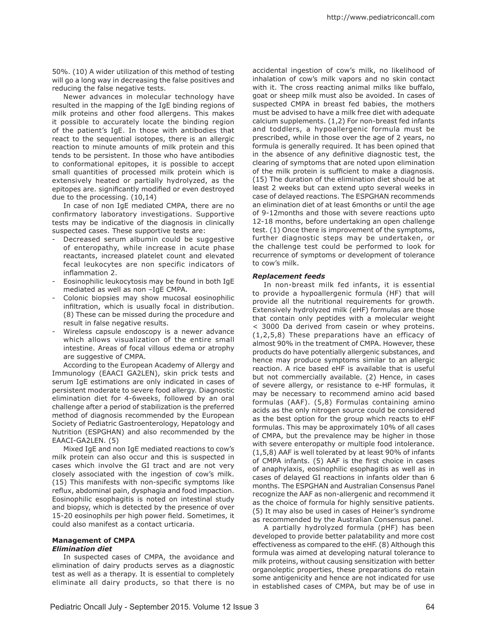50%. (10) A wider utilization of this method of testing will go a long way in decreasing the false positives and reducing the false negative tests.

Newer advances in molecular technology have resulted in the mapping of the IgE binding regions of milk proteins and other food allergens. This makes it possible to accurately locate the binding region of the patient's IgE. In those with antibodies that react to the sequential isotopes, there is an allergic reaction to minute amounts of milk protein and this tends to be persistent. In those who have antibodies to conformational epitopes, it is possible to accept small quantities of processed milk protein which is extensively heated or partially hydrolyzed, as the epitopes are. significantly modified or even destroyed due to the processing. (10,14)

In case of non IgE mediated CMPA, there are no confirmatory laboratory investigations. Supportive tests may be indicative of the diagnosis in clinically suspected cases. These supportive tests are:

- Decreased serum albumin could be suggestive of enteropathy, while increase in acute phase reactants, increased platelet count and elevated fecal leukocytes are non specific indicators of inflammation 2.
- Eosinophilic leukocytosis may be found in both IgE mediated as well as non –IgE CMPA.
- Colonic biopsies may show mucosal eosinophilic infiltration, which is usually focal in distribution. (8) These can be missed during the procedure and result in false negative results.
- Wireless capsule endoscopy is a newer advance which allows visualization of the entire small intestine. Areas of focal villous edema or atrophy are suggestive of CMPA.

According to the European Academy of Allergy and Immunology (EAACI GA2LEN), skin prick tests and serum IgE estimations are only indicated in cases of persistent moderate to severe food allergy. Diagnostic elimination diet for 4-6weeks, followed by an oral challenge after a period of stabilization is the preferred method of diagnosis recommended by the European Society of Pediatric Gastroenterology, Hepatology and Nutrition (ESPGHAN) and also recommended by the EAACI-GA2LEN. (5)

Mixed IgE and non IgE mediated reactions to cow's milk protein can also occur and this is suspected in cases which involve the GI tract and are not very closely associated with the ingestion of cow's milk. (15) This manifests with non-specific symptoms like reflux, abdominal pain, dysphagia and food impaction. Eosinophilic esophagitis is noted on intestinal study and biopsy, which is detected by the presence of over 15-20 eosinophils per high power field. Sometimes, it could also manifest as a contact urticaria.

#### **Management of CMPA**  *Elimination diet*

In suspected cases of CMPA, the avoidance and elimination of dairy products serves as a diagnostic test as well as a therapy. It is essential to completely eliminate all dairy products, so that there is no

accidental ingestion of cow's milk, no likelihood of inhalation of cow's milk vapors and no skin contact with it. The cross reacting animal milks like buffalo, goat or sheep milk must also be avoided. In cases of suspected CMPA in breast fed babies, the mothers must be advised to have a milk free diet with adequate calcium supplements. (1,2) For non-breast fed infants and toddlers, a hypoallergenic formula must be prescribed, while in those over the age of 2 years, no formula is generally required. It has been opined that in the absence of any definitive diagnostic test, the clearing of symptoms that are noted upon elimination of the milk protein is sufficient to make a diagnosis. (15) The duration of the elimination diet should be at least 2 weeks but can extend upto several weeks in case of delayed reactions. The ESPGHAN recommends an elimination diet of at least 6months or until the age of 9-12months and those with severe reactions upto 12-18 months, before undertaking an open challenge test. (1) Once there is improvement of the symptoms, further diagnostic steps may be undertaken, or the challenge test could be performed to look for recurrence of symptoms or development of tolerance to cow's milk.

# *Replacement feeds*

In non-breast milk fed infants, it is essential to provide a hypoallergenic formula (HF) that will provide all the nutritional requirements for growth. Extensively hydrolyzed milk (eHF) formulas are those that contain only peptides with a molecular weight < 3000 Da derived from casein or whey proteins. (1,2,5,8) These preparations have an efficacy of almost 90% in the treatment of CMPA. However, these products do have potentially allergenic substances, and hence may produce symptoms similar to an allergic reaction. A rice based eHF is available that is useful but not commercially available. (2) Hence, in cases of severe allergy, or resistance to e-HF formulas, it may be necessary to recommend amino acid based formulas (AAF). (5,8) Formulas containing amino acids as the only nitrogen source could be considered as the best option for the group which reacts to eHF formulas. This may be approximately 10% of all cases of CMPA, but the prevalence may be higher in those with severe enteropathy or multiple food intolerance. (1,5,8) AAF is well tolerated by at least 90% of infants of CMPA infants. (5) AAF is the first choice in cases of anaphylaxis, eosinophilic esophagitis as well as in cases of delayed GI reactions in infants older than 6 months. The ESPGHAN and Australian Consensus Panel recognize the AAF as non-allergenic and recommend it as the choice of formula for highly sensitive patients. (5) It may also be used in cases of Heiner's syndrome as recommended by the Australian Consensus panel.

A partially hydrolyzed formula (pHF) has been developed to provide better palatability and more cost effectiveness as compared to the eHF. (8) Although this formula was aimed at developing natural tolerance to milk proteins, without causing sensitization with better organoleptic properties, these preparations do retain some antigenicity and hence are not indicated for use in established cases of CMPA, but may be of use in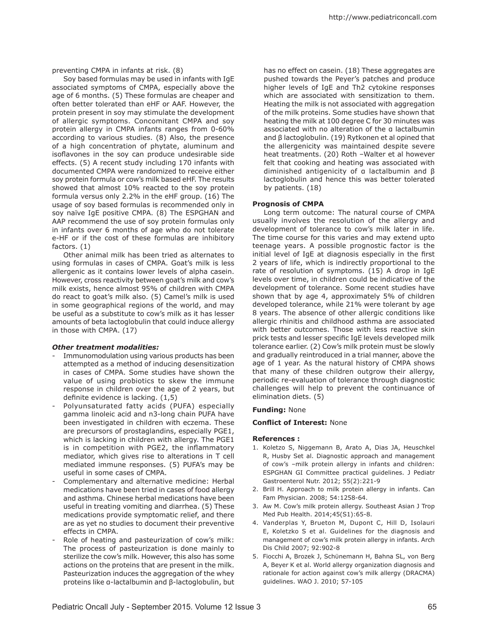preventing CMPA in infants at risk. (8)

Soy based formulas may be used in infants with IgE associated symptoms of CMPA, especially above the age of 6 months. (5) These formulas are cheaper and often better tolerated than eHF or AAF. However, the protein present in soy may stimulate the development of allergic symptoms. Concomitant CMPA and soy protein allergy in CMPA infants ranges from 0-60% according to various studies. (8) Also, the presence of a high concentration of phytate, aluminum and isoflavones in the soy can produce undesirable side effects. (5) A recent study including 170 infants with documented CMPA were randomized to receive either soy protein formula or cow's milk based eHF. The results showed that almost 10% reacted to the soy protein formula versus only 2.2% in the eHF group. (16) The usage of soy based formulas is recommended only in soy naïve IgE positive CMPA. (8) The ESPGHAN and AAP recommend the use of soy protein formulas only in infants over 6 months of age who do not tolerate e-HF or if the cost of these formulas are inhibitory factors. (1)

Other animal milk has been tried as alternates to using formulas in cases of CMPA. Goat's milk is less allergenic as it contains lower levels of alpha casein. However, cross reactivity between goat's milk and cow's milk exists, hence almost 95% of children with CMPA do react to goat's milk also. (5) Camel's milk is used in some geographical regions of the world, and may be useful as a substitute to cow's milk as it has lesser amounts of beta lactoglobulin that could induce allergy in those with CMPA. (17)

### *Other treatment modalities:*

- Immunomodulation using various products has been attempted as a method of inducing desensitization in cases of CMPA. Some studies have shown the value of using probiotics to skew the immune response in children over the age of 2 years, but definite evidence is lacking. (1,5)
- Polyunsaturated fatty acids (PUFA) especially gamma linoleic acid and n3-long chain PUFA have been investigated in children with eczema. These are precursors of prostaglandins, especially PGE1, which is lacking in children with allergy. The PGE1 is in competition with PGE2, the inflammatory mediator, which gives rise to alterations in T cell mediated immune responses. (5) PUFA's may be useful in some cases of CMPA.
- Complementary and alternative medicine: Herbal medications have been tried in cases of food allergy and asthma. Chinese herbal medications have been useful in treating vomiting and diarrhea. (5) These medications provide symptomatic relief, and there are as yet no studies to document their preventive effects in CMPA.
- Role of heating and pasteurization of cow's milk: The process of pasteurization is done mainly to sterilize the cow's milk. However, this also has some actions on the proteins that are present in the milk. Pasteurization induces the aggregation of the whey proteins like α-lactalbumin and β-lactoglobulin, but

has no effect on casein. (18) These aggregates are pushed towards the Peyer's patches and produce higher levels of IgE and Th2 cytokine responses which are associated with sensitization to them. Heating the milk is not associated with aggregation of the milk proteins. Some studies have shown that heating the milk at 100 degree C for 30 minutes was associated with no alteration of the α lactalbumin and β lactoglobulin. (19) Rytkonen et al opined that the allergenicity was maintained despite severe heat treatments. (20) Roth –Walter et al however felt that cooking and heating was associated with diminished antigenicity of α lactalbumin and β lactoglobulin and hence this was better tolerated by patients. (18)

### **Prognosis of CMPA**

Long term outcome: The natural course of CMPA usually involves the resolution of the allergy and development of tolerance to cow's milk later in life. The time course for this varies and may extend upto teenage years. A possible prognostic factor is the initial level of IgE at diagnosis especially in the first 2 years of life, which is indirectly proportional to the rate of resolution of symptoms. (15) A drop in IgE levels over time, in children could be indicative of the development of tolerance. Some recent studies have shown that by age 4, approximately 5% of children developed tolerance, while 21% were tolerant by age 8 years. The absence of other allergic conditions like allergic rhinitis and childhood asthma are associated with better outcomes. Those with less reactive skin prick tests and lesser specific IgE levels developed milk tolerance earlier. (2) Cow's milk protein must be slowly and gradually reintroduced in a trial manner, above the age of 1 year. As the natural history of CMPA shows that many of these children outgrow their allergy, periodic re-evaluation of tolerance through diagnostic challenges will help to prevent the continuance of elimination diets. (5)

## **Funding:** None

### **Conflict of Interest:** None

### **References :**

- 1. Koletzo S, Niggemann B, Arato A, Dias JA, Heuschkel R, Husby Set al. Diagnostic approach and management of cow's –milk protein allergy in infants and children: ESPGHAN GI Committee practical guidelines. J Pediatr Gastroenterol Nutr. 2012; 55(2):221-9
- 2. Brill H. Approach to milk protein allergy in infants. Can Fam Physician. 2008; 54:1258-64.
- 3. Aw M. Cow's milk protein allergy. Southeast Asian J Trop Med Pub Health. 2014;45(S1):65-8.
- 4. Vanderplas Y, Brueton M, Dupont C, Hill D, Isolauri E, Koletzko S et al. Guidelines for the diagnosis and management of cow's milk protein allergy in infants. Arch Dis Child 2007; 92:902-8
- 5. Fiocchi A, Brozek J, Schünemann H, Bahna SL, von Berg A, Beyer K et al. World allergy organization diagnosis and rationale for action against cow's milk allergy (DRACMA) guidelines. WAO J. 2010; 57-105